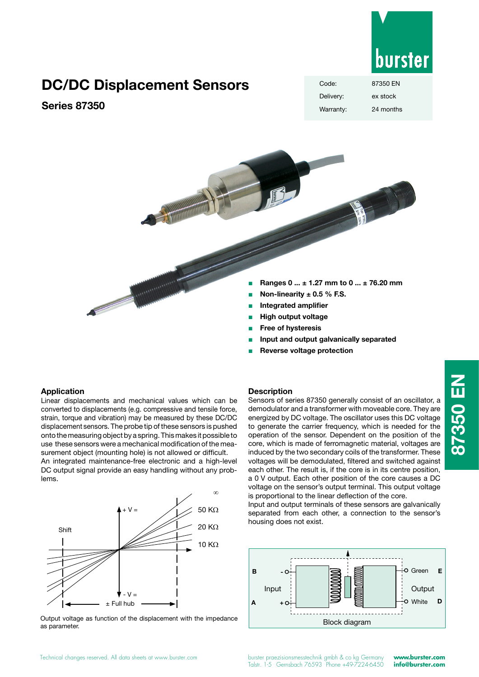

## **DC/DC Displacement Sensors**

## **Series 87350**

| Code:     | 87350 FN  |
|-----------|-----------|
| Delivery: | ex stock  |
| Warranty: | 24 months |

### **Application**

Linear displacements and mechanical values which can be converted to displacements (e.g. compressive and tensile force, strain, torque and vibration) may be measured by these DC/DC displacement sensors. The probe tip of these sensors is pushed onto the measuring object by a spring. This makes it possible to use these sensors were a mechanical modification of the measurement object (mounting hole) is not allowed or difficult.

Andrew Company Street

An integrated maintenance-free electronic and a high-level DC output signal provide an easy handling without any problems.



Output voltage as function of the displacement with the impedance as parameter.

#### **Description**

Sensors of series 87350 generally consist of an oscillator, a demodulator and a transformer with moveable core. They are energized by DC voltage. The oscillator uses this DC voltage to generate the carrier frequency, which is needed for the operation of the sensor. Dependent on the position of the core, which is made of ferromagnetic material, voltages are induced by the two secondary coils of the transformer. These voltages will be demodulated, filtered and switched against each other. The result is, if the core is in its centre position, a 0 V output. Each other position of the core causes a DC voltage on the sensor's output terminal. This output voltage is proportional to the linear deflection of the core.

<sup>Q</sup> **Ranges 0 ... ± 1.27 mm to 0 ... ± 76.20 mm**

<sup>Q</sup> **Input and output galvanically separated**

<sup>Q</sup> **Non-linearity ± 0.5 % F.S.** <sup>Q</sup> **Integrated amplifier High output voltage** <sup>Q</sup> **Free of hysteresis**

<sup>Q</sup> **Reverse voltage protection**

Input and output terminals of these sensors are galvanically separated from each other, a connection to the sensor's housing does not exist.